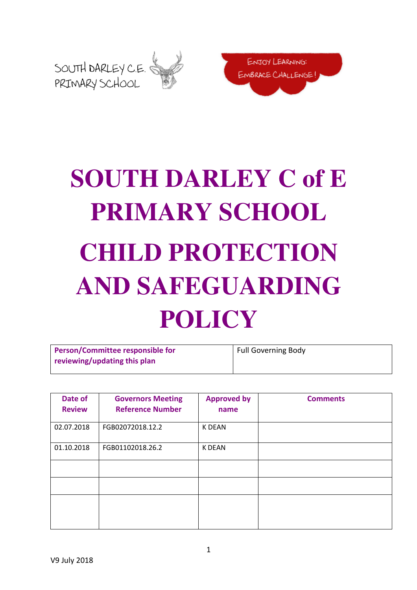

# **SOUTH DARLEY C of E PRIMARY SCHOOL CHILD PROTECTION AND SAFEGUARDING POLICY**

| <b>Person/Committee responsible for</b> | Full Governing Body |
|-----------------------------------------|---------------------|
| reviewing/updating this plan            |                     |

| Date of       | <b>Governors Meeting</b> | <b>Approved by</b> | <b>Comments</b> |
|---------------|--------------------------|--------------------|-----------------|
| <b>Review</b> | <b>Reference Number</b>  | name               |                 |
| 02.07.2018    | FGB02072018.12.2         | <b>K DEAN</b>      |                 |
| 01.10.2018    | FGB01102018.26.2         | <b>K DEAN</b>      |                 |
|               |                          |                    |                 |
|               |                          |                    |                 |
|               |                          |                    |                 |
|               |                          |                    |                 |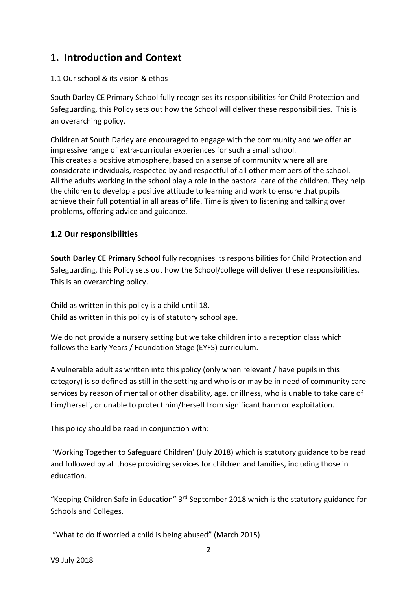# 1. Introduction and Context

#### 1.1 Our school & its vision & ethos

South Darley CE Primary School fully recognises its responsibilities for Child Protection and Safeguarding, this Policy sets out how the School will deliver these responsibilities. This is an overarching policy.

Children at South Darley are encouraged to engage with the community and we offer an impressive range of extra-curricular experiences for such a small school. This creates a positive atmosphere, based on a sense of community where all are considerate individuals, respected by and respectful of all other members of the school. All the adults working in the school play a role in the pastoral care of the children. They help the children to develop a positive attitude to learning and work to ensure that pupils achieve their full potential in all areas of life. Time is given to listening and talking over problems, offering advice and guidance.

#### 1.2 Our responsibilities

South Darley CE Primary School fully recognises its responsibilities for Child Protection and Safeguarding, this Policy sets out how the School/college will deliver these responsibilities. This is an overarching policy.

Child as written in this policy is a child until 18. Child as written in this policy is of statutory school age.

We do not provide a nursery setting but we take children into a reception class which follows the Early Years / Foundation Stage (EYFS) curriculum.

A vulnerable adult as written into this policy (only when relevant / have pupils in this category) is so defined as still in the setting and who is or may be in need of community care services by reason of mental or other disability, age, or illness, who is unable to take care of him/herself, or unable to protect him/herself from significant harm or exploitation.

This policy should be read in conjunction with:

 'Working Together to Safeguard Children' (July 2018) which is statutory guidance to be read and followed by all those providing services for children and families, including those in education.

"Keeping Children Safe in Education" 3rd September 2018 which is the statutory guidance for Schools and Colleges.

"What to do if worried a child is being abused" (March 2015)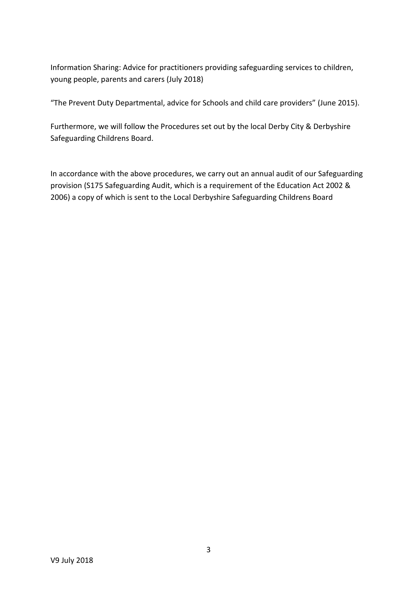Information Sharing: Advice for practitioners providing safeguarding services to children, young people, parents and carers (July 2018)

"The Prevent Duty Departmental, advice for Schools and child care providers" (June 2015).

Furthermore, we will follow the Procedures set out by the local Derby City & Derbyshire Safeguarding Childrens Board.

In accordance with the above procedures, we carry out an annual audit of our Safeguarding provision (S175 Safeguarding Audit, which is a requirement of the Education Act 2002 & 2006) a copy of which is sent to the Local Derbyshire Safeguarding Childrens Board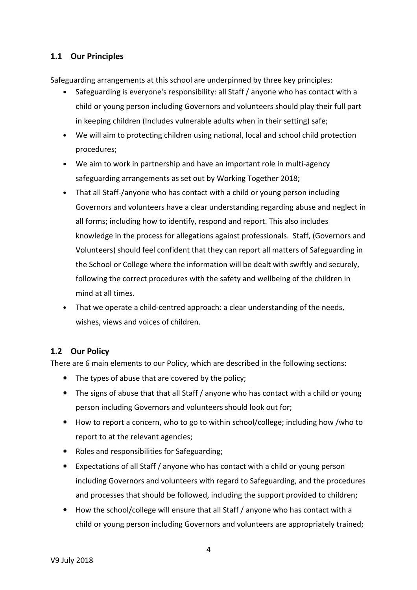#### 1.1 Our Principles

Safeguarding arrangements at this school are underpinned by three key principles:

- Safeguarding is everyone's responsibility: all Staff / anyone who has contact with a child or young person including Governors and volunteers should play their full part in keeping children (Includes vulnerable adults when in their setting) safe;
- We will aim to protecting children using national, local and school child protection procedures;
- We aim to work in partnership and have an important role in multi-agency safeguarding arrangements as set out by Working Together 2018;
- That all Staff-/anyone who has contact with a child or young person including Governors and volunteers have a clear understanding regarding abuse and neglect in all forms; including how to identify, respond and report. This also includes knowledge in the process for allegations against professionals. Staff, (Governors and Volunteers) should feel confident that they can report all matters of Safeguarding in the School or College where the information will be dealt with swiftly and securely, following the correct procedures with the safety and wellbeing of the children in mind at all times.
- That we operate a child-centred approach: a clear understanding of the needs, wishes, views and voices of children.

#### 1.2 Our Policy

There are 6 main elements to our Policy, which are described in the following sections:

- The types of abuse that are covered by the policy;
- The signs of abuse that that all Staff / anyone who has contact with a child or young person including Governors and volunteers should look out for;
- How to report a concern, who to go to within school/college; including how /who to report to at the relevant agencies;
- Roles and responsibilities for Safeguarding;
- Expectations of all Staff / anyone who has contact with a child or young person including Governors and volunteers with regard to Safeguarding, and the procedures and processes that should be followed, including the support provided to children;
- How the school/college will ensure that all Staff / anyone who has contact with a child or young person including Governors and volunteers are appropriately trained;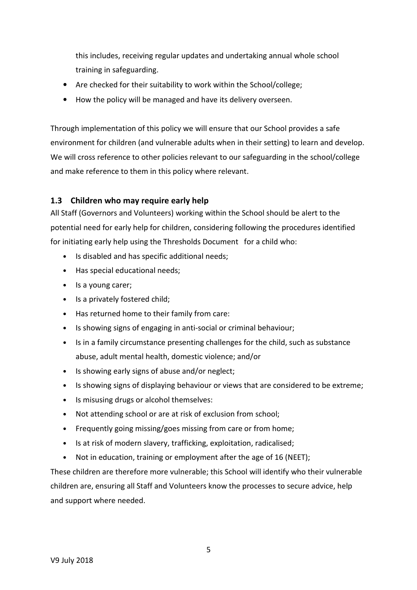this includes, receiving regular updates and undertaking annual whole school training in safeguarding.

- Are checked for their suitability to work within the School/college;
- How the policy will be managed and have its delivery overseen.

Through implementation of this policy we will ensure that our School provides a safe environment for children (and vulnerable adults when in their setting) to learn and develop. We will cross reference to other policies relevant to our safeguarding in the school/college and make reference to them in this policy where relevant.

#### 1.3 Children who may require early help

All Staff (Governors and Volunteers) working within the School should be alert to the potential need for early help for children, considering following the procedures identified for initiating early help using the Thresholds Document for a child who:

- Is disabled and has specific additional needs;
- Has special educational needs;
- Is a young carer;
- Is a privately fostered child;
- Has returned home to their family from care:
- Is showing signs of engaging in anti-social or criminal behaviour;
- Is in a family circumstance presenting challenges for the child, such as substance abuse, adult mental health, domestic violence; and/or
- Is showing early signs of abuse and/or neglect;
- Is showing signs of displaying behaviour or views that are considered to be extreme;
- Is misusing drugs or alcohol themselves:
- Not attending school or are at risk of exclusion from school;
- Frequently going missing/goes missing from care or from home;
- Is at risk of modern slavery, trafficking, exploitation, radicalised;
- Not in education, training or employment after the age of 16 (NEET);

These children are therefore more vulnerable; this School will identify who their vulnerable children are, ensuring all Staff and Volunteers know the processes to secure advice, help and support where needed.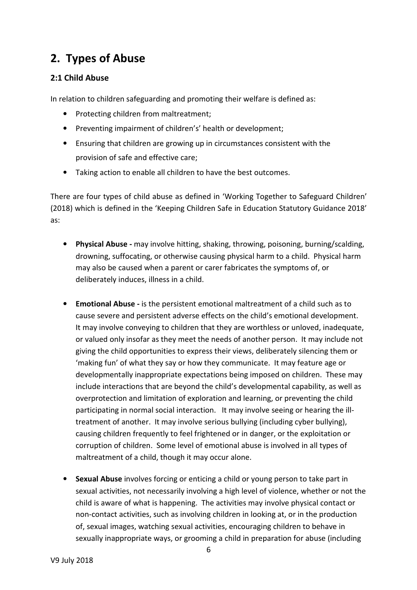# 2. Types of Abuse

## 2:1 Child Abuse

In relation to children safeguarding and promoting their welfare is defined as:

- Protecting children from maltreatment;
- Preventing impairment of children's' health or development;
- Ensuring that children are growing up in circumstances consistent with the provision of safe and effective care;
- Taking action to enable all children to have the best outcomes.

There are four types of child abuse as defined in 'Working Together to Safeguard Children' (2018) which is defined in the 'Keeping Children Safe in Education Statutory Guidance 2018' as:

- Physical Abuse may involve hitting, shaking, throwing, poisoning, burning/scalding, drowning, suffocating, or otherwise causing physical harm to a child. Physical harm may also be caused when a parent or carer fabricates the symptoms of, or deliberately induces, illness in a child.
- Emotional Abuse is the persistent emotional maltreatment of a child such as to cause severe and persistent adverse effects on the child's emotional development. It may involve conveying to children that they are worthless or unloved, inadequate, or valued only insofar as they meet the needs of another person. It may include not giving the child opportunities to express their views, deliberately silencing them or 'making fun' of what they say or how they communicate. It may feature age or developmentally inappropriate expectations being imposed on children. These may include interactions that are beyond the child's developmental capability, as well as overprotection and limitation of exploration and learning, or preventing the child participating in normal social interaction. It may involve seeing or hearing the illtreatment of another. It may involve serious bullying (including cyber bullying), causing children frequently to feel frightened or in danger, or the exploitation or corruption of children. Some level of emotional abuse is involved in all types of maltreatment of a child, though it may occur alone.
- Sexual Abuse involves forcing or enticing a child or young person to take part in sexual activities, not necessarily involving a high level of violence, whether or not the child is aware of what is happening. The activities may involve physical contact or non-contact activities, such as involving children in looking at, or in the production of, sexual images, watching sexual activities, encouraging children to behave in sexually inappropriate ways, or grooming a child in preparation for abuse (including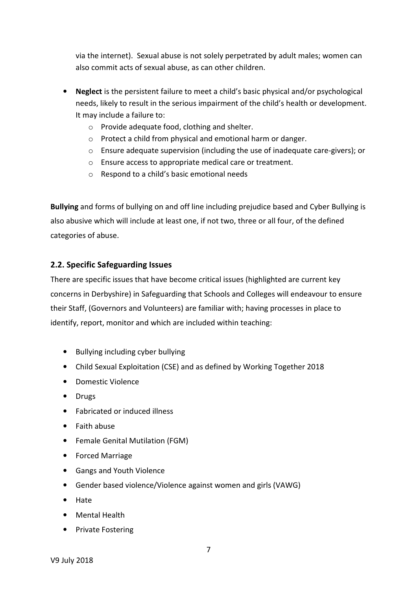via the internet). Sexual abuse is not solely perpetrated by adult males; women can also commit acts of sexual abuse, as can other children.

- Neglect is the persistent failure to meet a child's basic physical and/or psychological needs, likely to result in the serious impairment of the child's health or development. It may include a failure to:
	- o Provide adequate food, clothing and shelter.
	- o Protect a child from physical and emotional harm or danger.
	- $\circ$  Ensure adequate supervision (including the use of inadequate care-givers); or
	- o Ensure access to appropriate medical care or treatment.
	- o Respond to a child's basic emotional needs

Bullying and forms of bullying on and off line including prejudice based and Cyber Bullying is also abusive which will include at least one, if not two, three or all four, of the defined categories of abuse.

#### 2.2. Specific Safeguarding Issues

There are specific issues that have become critical issues (highlighted are current key concerns in Derbyshire) in Safeguarding that Schools and Colleges will endeavour to ensure their Staff, (Governors and Volunteers) are familiar with; having processes in place to identify, report, monitor and which are included within teaching:

- Bullying including cyber bullying
- Child Sexual Exploitation (CSE) and as defined by Working Together 2018
- Domestic Violence
- Drugs
- Fabricated or induced illness
- Faith abuse
- Female Genital Mutilation (FGM)
- Forced Marriage
- Gangs and Youth Violence
- Gender based violence/Violence against women and girls (VAWG)
- Hate
- Mental Health
- Private Fostering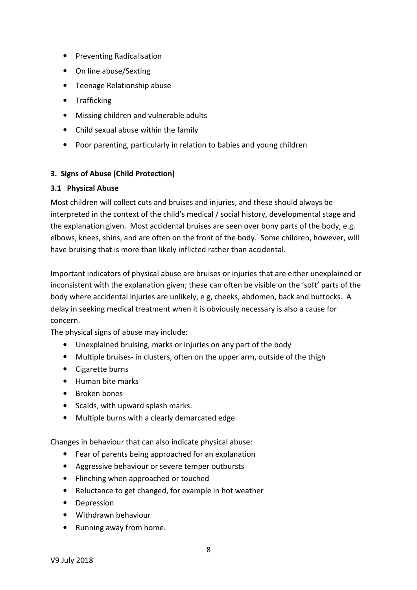- Preventing Radicalisation
- On line abuse/Sexting
- Teenage Relationship abuse
- Trafficking
- Missing children and vulnerable adults
- Child sexual abuse within the family
- Poor parenting, particularly in relation to babies and young children

#### 3. Signs of Abuse (Child Protection)

#### 3.1 Physical Abuse

Most children will collect cuts and bruises and injuries, and these should always be interpreted in the context of the child's medical / social history, developmental stage and the explanation given. Most accidental bruises are seen over bony parts of the body, e.g. elbows, knees, shins, and are often on the front of the body. Some children, however, will have bruising that is more than likely inflicted rather than accidental.

Important indicators of physical abuse are bruises or injuries that are either unexplained or inconsistent with the explanation given; these can often be visible on the 'soft' parts of the body where accidental injuries are unlikely, e g, cheeks, abdomen, back and buttocks. A delay in seeking medical treatment when it is obviously necessary is also a cause for concern.

The physical signs of abuse may include:

- Unexplained bruising, marks or injuries on any part of the body
- Multiple bruises- in clusters, often on the upper arm, outside of the thigh
- Cigarette burns
- Human bite marks
- Broken bones
- Scalds, with upward splash marks.
- Multiple burns with a clearly demarcated edge.

Changes in behaviour that can also indicate physical abuse:

- Fear of parents being approached for an explanation
- Aggressive behaviour or severe temper outbursts
- Flinching when approached or touched
- Reluctance to get changed, for example in hot weather
- Depression
- Withdrawn behaviour
- Running away from home.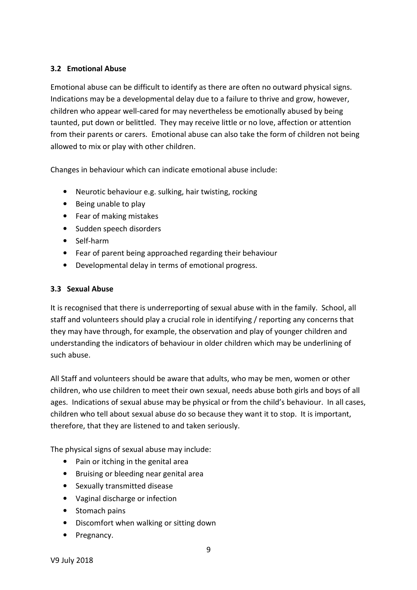#### 3.2 Emotional Abuse

Emotional abuse can be difficult to identify as there are often no outward physical signs. Indications may be a developmental delay due to a failure to thrive and grow, however, children who appear well-cared for may nevertheless be emotionally abused by being taunted, put down or belittled. They may receive little or no love, affection or attention from their parents or carers. Emotional abuse can also take the form of children not being allowed to mix or play with other children.

Changes in behaviour which can indicate emotional abuse include:

- Neurotic behaviour e.g. sulking, hair twisting, rocking
- Being unable to play
- Fear of making mistakes
- Sudden speech disorders
- Self-harm
- Fear of parent being approached regarding their behaviour
- Developmental delay in terms of emotional progress.

#### 3.3 Sexual Abuse

It is recognised that there is underreporting of sexual abuse with in the family. School, all staff and volunteers should play a crucial role in identifying / reporting any concerns that they may have through, for example, the observation and play of younger children and understanding the indicators of behaviour in older children which may be underlining of such abuse.

All Staff and volunteers should be aware that adults, who may be men, women or other children, who use children to meet their own sexual, needs abuse both girls and boys of all ages. Indications of sexual abuse may be physical or from the child's behaviour. In all cases, children who tell about sexual abuse do so because they want it to stop. It is important, therefore, that they are listened to and taken seriously.

The physical signs of sexual abuse may include:

- Pain or itching in the genital area
- Bruising or bleeding near genital area
- Sexually transmitted disease
- Vaginal discharge or infection
- Stomach pains
- Discomfort when walking or sitting down
- Pregnancy.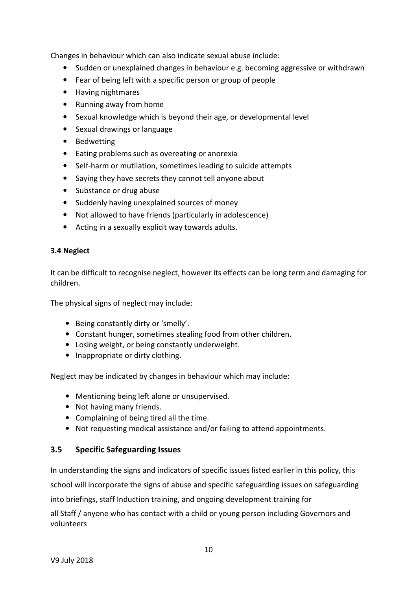Changes in behaviour which can also indicate sexual abuse include:

- Sudden or unexplained changes in behaviour e.g. becoming aggressive or withdrawn
- Fear of being left with a specific person or group of people
- Having nightmares
- Running away from home
- Sexual knowledge which is beyond their age, or developmental level
- Sexual drawings or language
- Bedwetting
- Eating problems such as overeating or anorexia
- Self-harm or mutilation, sometimes leading to suicide attempts
- Saying they have secrets they cannot tell anyone about
- Substance or drug abuse
- Suddenly having unexplained sources of money
- Not allowed to have friends (particularly in adolescence)
- Acting in a sexually explicit way towards adults.

#### 3.4 Neglect

It can be difficult to recognise neglect, however its effects can be long term and damaging for children.

The physical signs of neglect may include:

- Being constantly dirty or 'smelly'.
- Constant hunger, sometimes stealing food from other children.
- Losing weight, or being constantly underweight.
- Inappropriate or dirty clothing.

Neglect may be indicated by changes in behaviour which may include:

- Mentioning being left alone or unsupervised.
- Not having many friends.
- Complaining of being tired all the time.
- Not requesting medical assistance and/or failing to attend appointments.

#### 3.5 Specific Safeguarding Issues

In understanding the signs and indicators of specific issues listed earlier in this policy, this school will incorporate the signs of abuse and specific safeguarding issues on safeguarding into briefings, staff Induction training, and ongoing development training for

all Staff / anyone who has contact with a child or young person including Governors and volunteers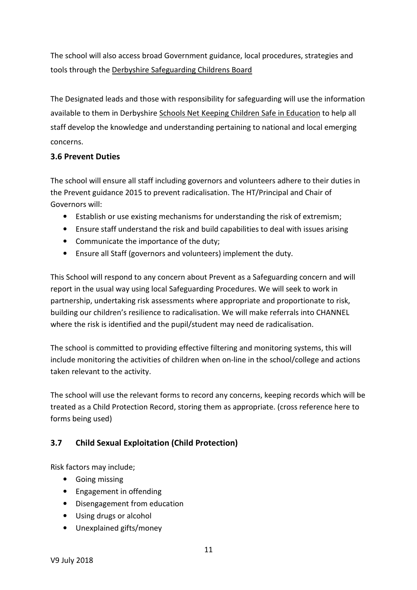The school will also access broad Government guidance, local procedures, strategies and tools through the Derbyshire Safeguarding Childrens Board

The Designated leads and those with responsibility for safeguarding will use the information available to them in Derbyshire Schools Net Keeping Children Safe in Education to help all staff develop the knowledge and understanding pertaining to national and local emerging concerns.

#### 3.6 Prevent Duties

The school will ensure all staff including governors and volunteers adhere to their duties in the Prevent guidance 2015 to prevent radicalisation. The HT/Principal and Chair of Governors will:

- Establish or use existing mechanisms for understanding the risk of extremism;
- Ensure staff understand the risk and build capabilities to deal with issues arising
- Communicate the importance of the duty;
- Ensure all Staff (governors and volunteers) implement the duty.

This School will respond to any concern about Prevent as a Safeguarding concern and will report in the usual way using local Safeguarding Procedures. We will seek to work in partnership, undertaking risk assessments where appropriate and proportionate to risk, building our children's resilience to radicalisation. We will make referrals into CHANNEL where the risk is identified and the pupil/student may need de radicalisation.

The school is committed to providing effective filtering and monitoring systems, this will include monitoring the activities of children when on-line in the school/college and actions taken relevant to the activity.

The school will use the relevant forms to record any concerns, keeping records which will be treated as a Child Protection Record, storing them as appropriate. (cross reference here to forms being used)

## 3.7 Child Sexual Exploitation (Child Protection)

Risk factors may include;

- Going missing
- Engagement in offending
- Disengagement from education
- Using drugs or alcohol
- Unexplained gifts/money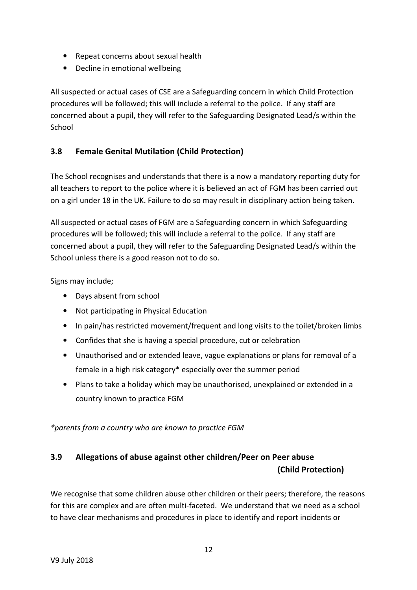- Repeat concerns about sexual health
- Decline in emotional wellbeing

All suspected or actual cases of CSE are a Safeguarding concern in which Child Protection procedures will be followed; this will include a referral to the police. If any staff are concerned about a pupil, they will refer to the Safeguarding Designated Lead/s within the School

## 3.8 Female Genital Mutilation (Child Protection)

The School recognises and understands that there is a now a mandatory reporting duty for all teachers to report to the police where it is believed an act of FGM has been carried out on a girl under 18 in the UK. Failure to do so may result in disciplinary action being taken.

All suspected or actual cases of FGM are a Safeguarding concern in which Safeguarding procedures will be followed; this will include a referral to the police. If any staff are concerned about a pupil, they will refer to the Safeguarding Designated Lead/s within the School unless there is a good reason not to do so.

Signs may include;

- Days absent from school
- Not participating in Physical Education
- In pain/has restricted movement/frequent and long visits to the toilet/broken limbs
- Confides that she is having a special procedure, cut or celebration
- Unauthorised and or extended leave, vague explanations or plans for removal of a female in a high risk category\* especially over the summer period
- Plans to take a holiday which may be unauthorised, unexplained or extended in a country known to practice FGM

\*parents from a country who are known to practice FGM

# 3.9 Allegations of abuse against other children/Peer on Peer abuse (Child Protection)

We recognise that some children abuse other children or their peers; therefore, the reasons for this are complex and are often multi-faceted. We understand that we need as a school to have clear mechanisms and procedures in place to identify and report incidents or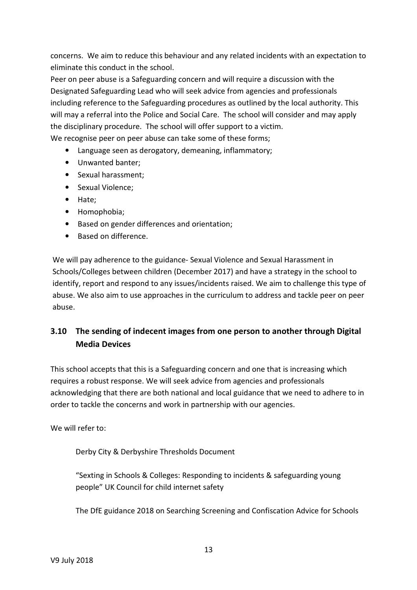concerns. We aim to reduce this behaviour and any related incidents with an expectation to eliminate this conduct in the school.

Peer on peer abuse is a Safeguarding concern and will require a discussion with the Designated Safeguarding Lead who will seek advice from agencies and professionals including reference to the Safeguarding procedures as outlined by the local authority. This will may a referral into the Police and Social Care. The school will consider and may apply the disciplinary procedure. The school will offer support to a victim.

We recognise peer on peer abuse can take some of these forms;

- Language seen as derogatory, demeaning, inflammatory;
- Unwanted banter;
- Sexual harassment;
- Sexual Violence;
- Hate;
- Homophobia;
- Based on gender differences and orientation;
- Based on difference.

We will pay adherence to the guidance- Sexual Violence and Sexual Harassment in Schools/Colleges between children (December 2017) and have a strategy in the school to identify, report and respond to any issues/incidents raised. We aim to challenge this type of abuse. We also aim to use approaches in the curriculum to address and tackle peer on peer abuse.

# 3.10 The sending of indecent images from one person to another through Digital Media Devices

This school accepts that this is a Safeguarding concern and one that is increasing which requires a robust response. We will seek advice from agencies and professionals acknowledging that there are both national and local guidance that we need to adhere to in order to tackle the concerns and work in partnership with our agencies.

We will refer to:

Derby City & Derbyshire Thresholds Document

"Sexting in Schools & Colleges: Responding to incidents & safeguarding young people" UK Council for child internet safety

The DfE guidance 2018 on Searching Screening and Confiscation Advice for Schools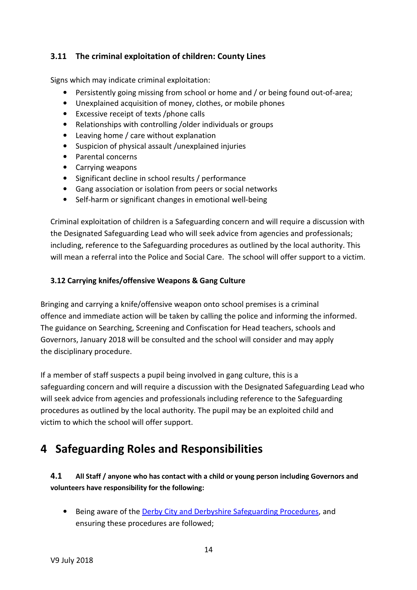#### 3.11 The criminal exploitation of children: County Lines

Signs which may indicate criminal exploitation:

- Persistently going missing from school or home and / or being found out-of-area;
- Unexplained acquisition of money, clothes, or mobile phones
- Excessive receipt of texts /phone calls
- Relationships with controlling /older individuals or groups
- Leaving home / care without explanation
- Suspicion of physical assault /unexplained injuries
- Parental concerns
- Carrying weapons
- Significant decline in school results / performance
- Gang association or isolation from peers or social networks
- Self-harm or significant changes in emotional well-being

Criminal exploitation of children is a Safeguarding concern and will require a discussion with the Designated Safeguarding Lead who will seek advice from agencies and professionals; including, reference to the Safeguarding procedures as outlined by the local authority. This will mean a referral into the Police and Social Care. The school will offer support to a victim.

#### 3.12 Carrying knifes/offensive Weapons & Gang Culture

Bringing and carrying a knife/offensive weapon onto school premises is a criminal offence and immediate action will be taken by calling the police and informing the informed. The guidance on Searching, Screening and Confiscation for Head teachers, schools and Governors, January 2018 will be consulted and the school will consider and may apply the disciplinary procedure.

If a member of staff suspects a pupil being involved in gang culture, this is a safeguarding concern and will require a discussion with the Designated Safeguarding Lead who will seek advice from agencies and professionals including reference to the Safeguarding procedures as outlined by the local authority. The pupil may be an exploited child and victim to which the school will offer support.

# 4 Safeguarding Roles and Responsibilities

4.1 All Staff / anyone who has contact with a child or young person including Governors and volunteers have responsibility for the following:

• Being aware of the Derby City and Derbyshire Safeguarding Procedures, and ensuring these procedures are followed;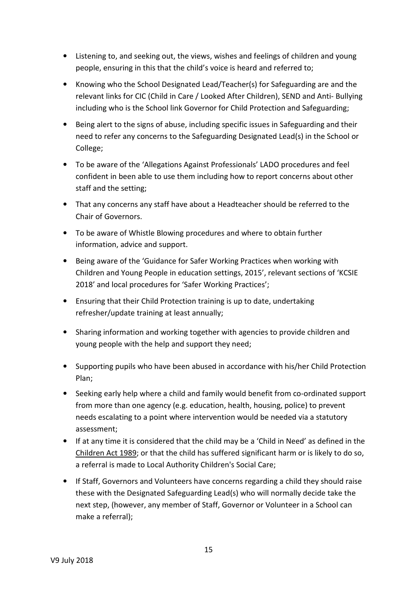- Listening to, and seeking out, the views, wishes and feelings of children and young people, ensuring in this that the child's voice is heard and referred to;
- Knowing who the School Designated Lead/Teacher(s) for Safeguarding are and the relevant links for CIC (Child in Care / Looked After Children), SEND and Anti- Bullying including who is the School link Governor for Child Protection and Safeguarding;
- Being alert to the signs of abuse, including specific issues in Safeguarding and their need to refer any concerns to the Safeguarding Designated Lead(s) in the School or College;
- To be aware of the 'Allegations Against Professionals' LADO procedures and feel confident in been able to use them including how to report concerns about other staff and the setting;
- That any concerns any staff have about a Headteacher should be referred to the Chair of Governors.
- To be aware of Whistle Blowing procedures and where to obtain further information, advice and support.
- Being aware of the 'Guidance for Safer Working Practices when working with Children and Young People in education settings, 2015', relevant sections of 'KCSIE 2018' and local procedures for 'Safer Working Practices';
- Ensuring that their Child Protection training is up to date, undertaking refresher/update training at least annually;
- Sharing information and working together with agencies to provide children and young people with the help and support they need;
- Supporting pupils who have been abused in accordance with his/her Child Protection Plan;
- Seeking early help where a child and family would benefit from co-ordinated support from more than one agency (e.g. education, health, housing, police) to prevent needs escalating to a point where intervention would be needed via a statutory assessment;
- If at any time it is considered that the child may be a 'Child in Need' as defined in the Children Act 1989; or that the child has suffered significant harm or is likely to do so, a referral is made to Local Authority Children's Social Care;
- If Staff, Governors and Volunteers have concerns regarding a child they should raise these with the Designated Safeguarding Lead(s) who will normally decide take the next step, (however, any member of Staff, Governor or Volunteer in a School can make a referral);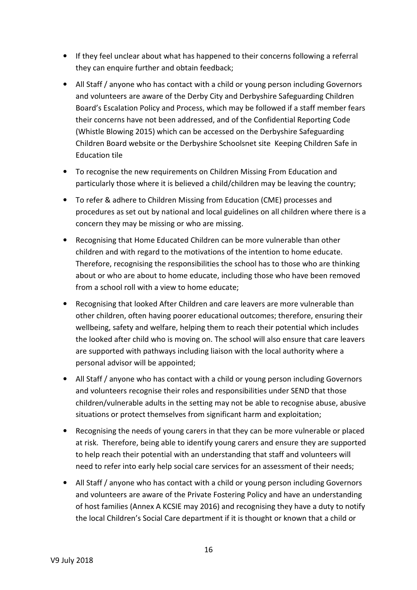- If they feel unclear about what has happened to their concerns following a referral they can enquire further and obtain feedback;
- All Staff / anyone who has contact with a child or young person including Governors and volunteers are aware of the Derby City and Derbyshire Safeguarding Children Board's Escalation Policy and Process, which may be followed if a staff member fears their concerns have not been addressed, and of the Confidential Reporting Code (Whistle Blowing 2015) which can be accessed on the Derbyshire Safeguarding Children Board website or the Derbyshire Schoolsnet site Keeping Children Safe in Education tile
- To recognise the new requirements on Children Missing From Education and particularly those where it is believed a child/children may be leaving the country;
- To refer & adhere to Children Missing from Education (CME) processes and procedures as set out by national and local guidelines on all children where there is a concern they may be missing or who are missing.
- Recognising that Home Educated Children can be more vulnerable than other children and with regard to the motivations of the intention to home educate. Therefore, recognising the responsibilities the school has to those who are thinking about or who are about to home educate, including those who have been removed from a school roll with a view to home educate;
- Recognising that looked After Children and care leavers are more vulnerable than other children, often having poorer educational outcomes; therefore, ensuring their wellbeing, safety and welfare, helping them to reach their potential which includes the looked after child who is moving on. The school will also ensure that care leavers are supported with pathways including liaison with the local authority where a personal advisor will be appointed;
- All Staff / anyone who has contact with a child or young person including Governors and volunteers recognise their roles and responsibilities under SEND that those children/vulnerable adults in the setting may not be able to recognise abuse, abusive situations or protect themselves from significant harm and exploitation;
- Recognising the needs of young carers in that they can be more vulnerable or placed at risk. Therefore, being able to identify young carers and ensure they are supported to help reach their potential with an understanding that staff and volunteers will need to refer into early help social care services for an assessment of their needs;
- All Staff / anyone who has contact with a child or young person including Governors and volunteers are aware of the Private Fostering Policy and have an understanding of host families (Annex A KCSIE may 2016) and recognising they have a duty to notify the local Children's Social Care department if it is thought or known that a child or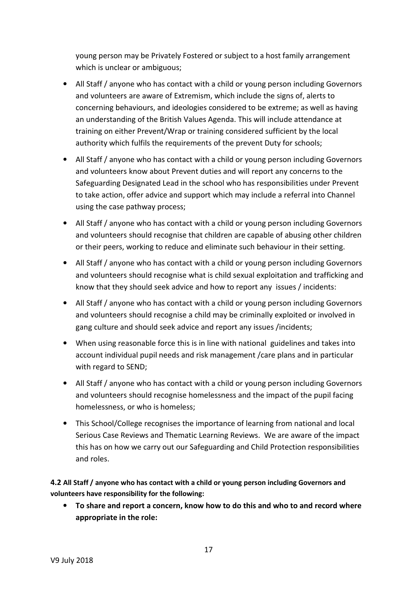young person may be Privately Fostered or subject to a host family arrangement which is unclear or ambiguous;

- All Staff / anyone who has contact with a child or young person including Governors and volunteers are aware of Extremism, which include the signs of, alerts to concerning behaviours, and ideologies considered to be extreme; as well as having an understanding of the British Values Agenda. This will include attendance at training on either Prevent/Wrap or training considered sufficient by the local authority which fulfils the requirements of the prevent Duty for schools;
- All Staff / anyone who has contact with a child or young person including Governors and volunteers know about Prevent duties and will report any concerns to the Safeguarding Designated Lead in the school who has responsibilities under Prevent to take action, offer advice and support which may include a referral into Channel using the case pathway process;
- All Staff / anyone who has contact with a child or young person including Governors and volunteers should recognise that children are capable of abusing other children or their peers, working to reduce and eliminate such behaviour in their setting.
- All Staff / anyone who has contact with a child or young person including Governors and volunteers should recognise what is child sexual exploitation and trafficking and know that they should seek advice and how to report any issues / incidents:
- All Staff / anyone who has contact with a child or young person including Governors and volunteers should recognise a child may be criminally exploited or involved in gang culture and should seek advice and report any issues /incidents;
- When using reasonable force this is in line with national guidelines and takes into account individual pupil needs and risk management /care plans and in particular with regard to SEND;
- All Staff / anyone who has contact with a child or young person including Governors and volunteers should recognise homelessness and the impact of the pupil facing homelessness, or who is homeless;
- This School/College recognises the importance of learning from national and local Serious Case Reviews and Thematic Learning Reviews. We are aware of the impact this has on how we carry out our Safeguarding and Child Protection responsibilities and roles.

4.2 All Staff / anyone who has contact with a child or young person including Governors and volunteers have responsibility for the following:

• To share and report a concern, know how to do this and who to and record where appropriate in the role: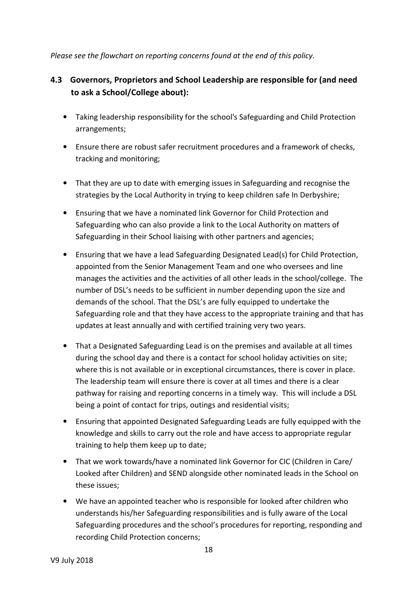#### Please see the flowchart on reporting concerns found at the end of this policy.

# 4.3 Governors, Proprietors and School Leadership are responsible for (and need to ask a School/College about):

- Taking leadership responsibility for the school's Safeguarding and Child Protection arrangements;
- Ensure there are robust safer recruitment procedures and a framework of checks, tracking and monitoring;
- That they are up to date with emerging issues in Safeguarding and recognise the strategies by the Local Authority in trying to keep children safe In Derbyshire;
- Ensuring that we have a nominated link Governor for Child Protection and Safeguarding who can also provide a link to the Local Authority on matters of Safeguarding in their School liaising with other partners and agencies;
- Ensuring that we have a lead Safeguarding Designated Lead(s) for Child Protection, appointed from the Senior Management Team and one who oversees and line manages the activities and the activities of all other leads in the school/college. The number of DSL's needs to be sufficient in number depending upon the size and demands of the school. That the DSL's are fully equipped to undertake the Safeguarding role and that they have access to the appropriate training and that has updates at least annually and with certified training very two years.
- That a Designated Safeguarding Lead is on the premises and available at all times during the school day and there is a contact for school holiday activities on site; where this is not available or in exceptional circumstances, there is cover in place. The leadership team will ensure there is cover at all times and there is a clear pathway for raising and reporting concerns in a timely way. This will include a DSL being a point of contact for trips, outings and residential visits;
- Ensuring that appointed Designated Safeguarding Leads are fully equipped with the knowledge and skills to carry out the role and have access to appropriate regular training to help them keep up to date;
- That we work towards/have a nominated link Governor for CIC (Children in Care/ Looked after Children) and SEND alongside other nominated leads in the School on these issues;
- We have an appointed teacher who is responsible for looked after children who understands his/her Safeguarding responsibilities and is fully aware of the Local Safeguarding procedures and the school's procedures for reporting, responding and recording Child Protection concerns;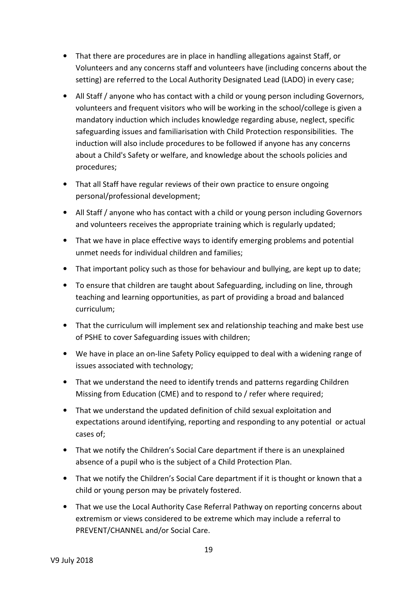- That there are procedures are in place in handling allegations against Staff, or Volunteers and any concerns staff and volunteers have (including concerns about the setting) are referred to the Local Authority Designated Lead (LADO) in every case;
- All Staff / anyone who has contact with a child or young person including Governors, volunteers and frequent visitors who will be working in the school/college is given a mandatory induction which includes knowledge regarding abuse, neglect, specific safeguarding issues and familiarisation with Child Protection responsibilities. The induction will also include procedures to be followed if anyone has any concerns about a Child's Safety or welfare, and knowledge about the schools policies and procedures;
- That all Staff have regular reviews of their own practice to ensure ongoing personal/professional development;
- All Staff / anyone who has contact with a child or young person including Governors and volunteers receives the appropriate training which is regularly updated;
- That we have in place effective ways to identify emerging problems and potential unmet needs for individual children and families;
- That important policy such as those for behaviour and bullying, are kept up to date;
- To ensure that children are taught about Safeguarding, including on line, through teaching and learning opportunities, as part of providing a broad and balanced curriculum;
- That the curriculum will implement sex and relationship teaching and make best use of PSHE to cover Safeguarding issues with children;
- We have in place an on-line Safety Policy equipped to deal with a widening range of issues associated with technology;
- That we understand the need to identify trends and patterns regarding Children Missing from Education (CME) and to respond to / refer where required;
- That we understand the updated definition of child sexual exploitation and expectations around identifying, reporting and responding to any potential or actual cases of;
- That we notify the Children's Social Care department if there is an unexplained absence of a pupil who is the subject of a Child Protection Plan.
- That we notify the Children's Social Care department if it is thought or known that a child or young person may be privately fostered.
- That we use the Local Authority Case Referral Pathway on reporting concerns about extremism or views considered to be extreme which may include a referral to PREVENT/CHANNEL and/or Social Care.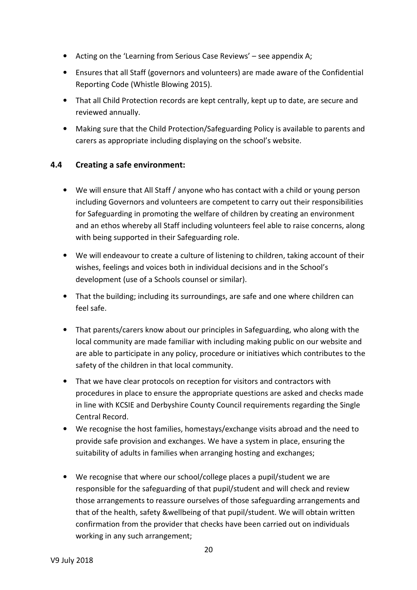- Acting on the 'Learning from Serious Case Reviews' see appendix A;
- Ensures that all Staff (governors and volunteers) are made aware of the Confidential Reporting Code (Whistle Blowing 2015).
- That all Child Protection records are kept centrally, kept up to date, are secure and reviewed annually.
- Making sure that the Child Protection/Safeguarding Policy is available to parents and carers as appropriate including displaying on the school's website.

#### 4.4 Creating a safe environment:

- We will ensure that All Staff / anyone who has contact with a child or young person including Governors and volunteers are competent to carry out their responsibilities for Safeguarding in promoting the welfare of children by creating an environment and an ethos whereby all Staff including volunteers feel able to raise concerns, along with being supported in their Safeguarding role.
- We will endeavour to create a culture of listening to children, taking account of their wishes, feelings and voices both in individual decisions and in the School's development (use of a Schools counsel or similar).
- That the building; including its surroundings, are safe and one where children can feel safe.
- That parents/carers know about our principles in Safeguarding, who along with the local community are made familiar with including making public on our website and are able to participate in any policy, procedure or initiatives which contributes to the safety of the children in that local community.
- That we have clear protocols on reception for visitors and contractors with procedures in place to ensure the appropriate questions are asked and checks made in line with KCSIE and Derbyshire County Council requirements regarding the Single Central Record.
- We recognise the host families, homestays/exchange visits abroad and the need to provide safe provision and exchanges. We have a system in place, ensuring the suitability of adults in families when arranging hosting and exchanges;
- We recognise that where our school/college places a pupil/student we are responsible for the safeguarding of that pupil/student and will check and review those arrangements to reassure ourselves of those safeguarding arrangements and that of the health, safety &wellbeing of that pupil/student. We will obtain written confirmation from the provider that checks have been carried out on individuals working in any such arrangement;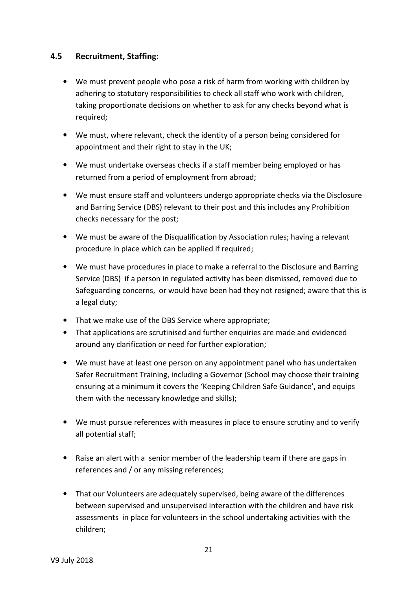#### 4.5 Recruitment, Staffing:

- We must prevent people who pose a risk of harm from working with children by adhering to statutory responsibilities to check all staff who work with children, taking proportionate decisions on whether to ask for any checks beyond what is required;
- We must, where relevant, check the identity of a person being considered for appointment and their right to stay in the UK;
- We must undertake overseas checks if a staff member being employed or has returned from a period of employment from abroad;
- We must ensure staff and volunteers undergo appropriate checks via the Disclosure and Barring Service (DBS) relevant to their post and this includes any Prohibition checks necessary for the post;
- We must be aware of the Disqualification by Association rules; having a relevant procedure in place which can be applied if required;
- We must have procedures in place to make a referral to the Disclosure and Barring Service (DBS) if a person in regulated activity has been dismissed, removed due to Safeguarding concerns, or would have been had they not resigned; aware that this is a legal duty;
- That we make use of the DBS Service where appropriate;
- That applications are scrutinised and further enquiries are made and evidenced around any clarification or need for further exploration;
- We must have at least one person on any appointment panel who has undertaken Safer Recruitment Training, including a Governor (School may choose their training ensuring at a minimum it covers the 'Keeping Children Safe Guidance', and equips them with the necessary knowledge and skills);
- We must pursue references with measures in place to ensure scrutiny and to verify all potential staff;
- Raise an alert with a senior member of the leadership team if there are gaps in references and / or any missing references;
- That our Volunteers are adequately supervised, being aware of the differences between supervised and unsupervised interaction with the children and have risk assessments in place for volunteers in the school undertaking activities with the children;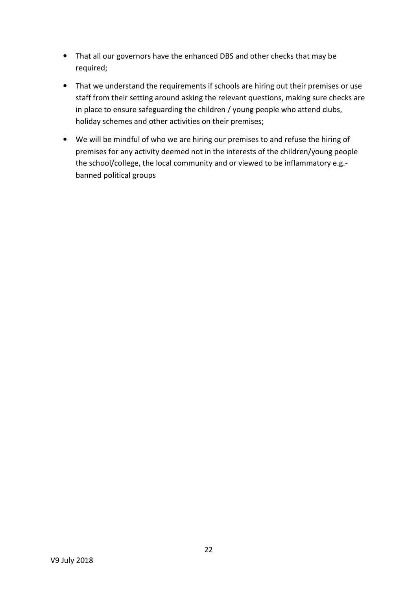- That all our governors have the enhanced DBS and other checks that may be required;
- That we understand the requirements if schools are hiring out their premises or use staff from their setting around asking the relevant questions, making sure checks are in place to ensure safeguarding the children / young people who attend clubs, holiday schemes and other activities on their premises;
- We will be mindful of who we are hiring our premises to and refuse the hiring of premises for any activity deemed not in the interests of the children/young people the school/college, the local community and or viewed to be inflammatory e.g. banned political groups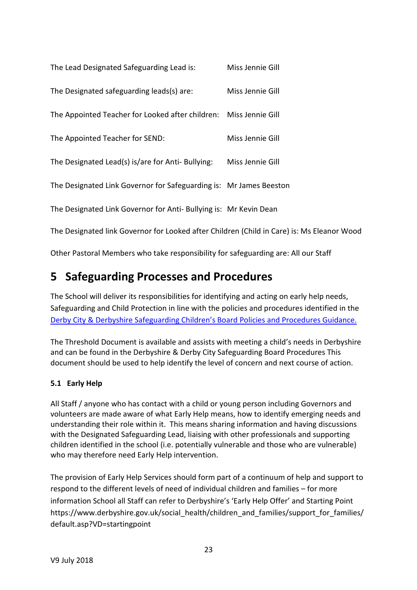| The Lead Designated Safeguarding Lead is:                                                  | Miss Jennie Gill |
|--------------------------------------------------------------------------------------------|------------------|
| The Designated safeguarding leads(s) are:                                                  | Miss Jennie Gill |
| The Appointed Teacher for Looked after children:                                           | Miss Jennie Gill |
| The Appointed Teacher for SEND:                                                            | Miss Jennie Gill |
| The Designated Lead(s) is/are for Anti- Bullying:                                          | Miss Jennie Gill |
| The Designated Link Governor for Safeguarding is: Mr James Beeston                         |                  |
| The Designated Link Governor for Anti- Bullying is: Mr Kevin Dean                          |                  |
| The Designated link Governor for Looked after Children (Child in Care) is: Ms Eleanor Wood |                  |

Other Pastoral Members who take responsibility for safeguarding are: All our Staff

# 5 Safeguarding Processes and Procedures

The School will deliver its responsibilities for identifying and acting on early help needs, Safeguarding and Child Protection in line with the policies and procedures identified in the Derby City & Derbyshire Safeguarding Children's Board Policies and Procedures Guidance.

The Threshold Document is available and assists with meeting a child's needs in Derbyshire and can be found in the Derbyshire & Derby City Safeguarding Board Procedures This document should be used to help identify the level of concern and next course of action.

## 5.1 Early Help

All Staff / anyone who has contact with a child or young person including Governors and volunteers are made aware of what Early Help means, how to identify emerging needs and understanding their role within it. This means sharing information and having discussions with the Designated Safeguarding Lead, liaising with other professionals and supporting children identified in the school (i.e. potentially vulnerable and those who are vulnerable) who may therefore need Early Help intervention.

The provision of Early Help Services should form part of a continuum of help and support to respond to the different levels of need of individual children and families – for more information School all Staff can refer to Derbyshire's 'Early Help Offer' and Starting Point https://www.derbyshire.gov.uk/social\_health/children\_and\_families/support\_for\_families/ default.asp?VD=startingpoint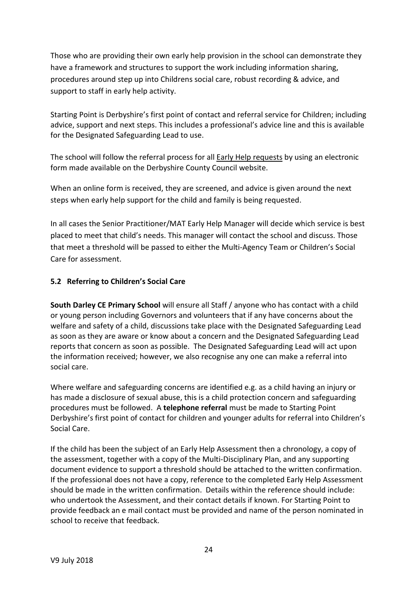Those who are providing their own early help provision in the school can demonstrate they have a framework and structures to support the work including information sharing, procedures around step up into Childrens social care, robust recording & advice, and support to staff in early help activity.

Starting Point is Derbyshire's first point of contact and referral service for Children; including advice, support and next steps. This includes a professional's advice line and this is available for the Designated Safeguarding Lead to use.

The school will follow the referral process for all Early Help requests by using an electronic form made available on the Derbyshire County Council website.

When an online form is received, they are screened, and advice is given around the next steps when early help support for the child and family is being requested.

In all cases the Senior Practitioner/MAT Early Help Manager will decide which service is best placed to meet that child's needs. This manager will contact the school and discuss. Those that meet a threshold will be passed to either the Multi-Agency Team or Children's Social Care for assessment.

#### 5.2 Referring to Children's Social Care

South Darley CE Primary School will ensure all Staff / anyone who has contact with a child or young person including Governors and volunteers that if any have concerns about the welfare and safety of a child, discussions take place with the Designated Safeguarding Lead as soon as they are aware or know about a concern and the Designated Safeguarding Lead reports that concern as soon as possible. The Designated Safeguarding Lead will act upon the information received; however, we also recognise any one can make a referral into social care.

Where welfare and safeguarding concerns are identified e.g. as a child having an injury or has made a disclosure of sexual abuse, this is a child protection concern and safeguarding procedures must be followed. A telephone referral must be made to Starting Point Derbyshire's first point of contact for children and younger adults for referral into Children's Social Care.

If the child has been the subject of an Early Help Assessment then a chronology, a copy of the assessment, together with a copy of the Multi-Disciplinary Plan, and any supporting document evidence to support a threshold should be attached to the written confirmation. If the professional does not have a copy, reference to the completed Early Help Assessment should be made in the written confirmation. Details within the reference should include: who undertook the Assessment, and their contact details if known. For Starting Point to provide feedback an e mail contact must be provided and name of the person nominated in school to receive that feedback.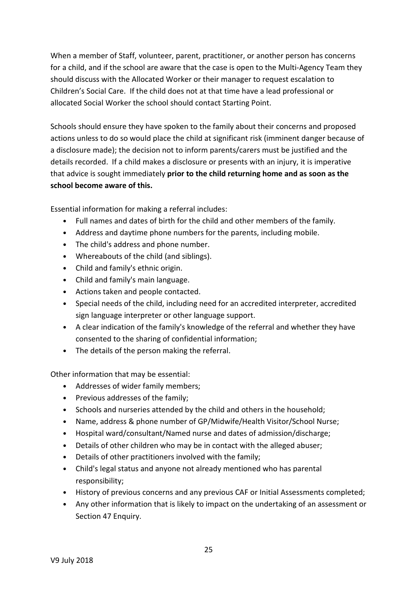When a member of Staff, volunteer, parent, practitioner, or another person has concerns for a child, and if the school are aware that the case is open to the Multi-Agency Team they should discuss with the Allocated Worker or their manager to request escalation to Children's Social Care. If the child does not at that time have a lead professional or allocated Social Worker the school should contact Starting Point.

Schools should ensure they have spoken to the family about their concerns and proposed actions unless to do so would place the child at significant risk (imminent danger because of a disclosure made); the decision not to inform parents/carers must be justified and the details recorded. If a child makes a disclosure or presents with an injury, it is imperative that advice is sought immediately prior to the child returning home and as soon as the school become aware of this.

Essential information for making a referral includes:

- Full names and dates of birth for the child and other members of the family.
- Address and daytime phone numbers for the parents, including mobile.
- The child's address and phone number.
- Whereabouts of the child (and siblings).
- Child and family's ethnic origin.
- Child and family's main language.
- Actions taken and people contacted.
- Special needs of the child, including need for an accredited interpreter, accredited sign language interpreter or other language support.
- A clear indication of the family's knowledge of the referral and whether they have consented to the sharing of confidential information;
- The details of the person making the referral.

Other information that may be essential:

- Addresses of wider family members;
- Previous addresses of the family;
- Schools and nurseries attended by the child and others in the household;
- Name, address & phone number of GP/Midwife/Health Visitor/School Nurse;
- Hospital ward/consultant/Named nurse and dates of admission/discharge;
- Details of other children who may be in contact with the alleged abuser;
- Details of other practitioners involved with the family;
- Child's legal status and anyone not already mentioned who has parental responsibility;
- History of previous concerns and any previous CAF or Initial Assessments completed;
- Any other information that is likely to impact on the undertaking of an assessment or Section 47 Enquiry.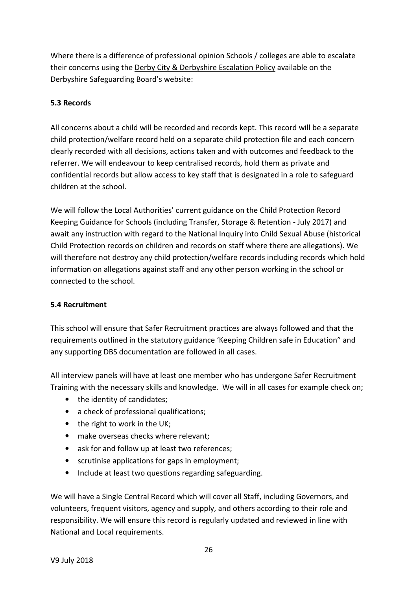Where there is a difference of professional opinion Schools / colleges are able to escalate their concerns using the Derby City & Derbyshire Escalation Policy available on the Derbyshire Safeguarding Board's website:

#### 5.3 Records

All concerns about a child will be recorded and records kept. This record will be a separate child protection/welfare record held on a separate child protection file and each concern clearly recorded with all decisions, actions taken and with outcomes and feedback to the referrer. We will endeavour to keep centralised records, hold them as private and confidential records but allow access to key staff that is designated in a role to safeguard children at the school.

We will follow the Local Authorities' current guidance on the Child Protection Record Keeping Guidance for Schools (including Transfer, Storage & Retention - July 2017) and await any instruction with regard to the National Inquiry into Child Sexual Abuse (historical Child Protection records on children and records on staff where there are allegations). We will therefore not destroy any child protection/welfare records including records which hold information on allegations against staff and any other person working in the school or connected to the school.

#### 5.4 Recruitment

This school will ensure that Safer Recruitment practices are always followed and that the requirements outlined in the statutory guidance 'Keeping Children safe in Education" and any supporting DBS documentation are followed in all cases.

All interview panels will have at least one member who has undergone Safer Recruitment Training with the necessary skills and knowledge. We will in all cases for example check on;

- the identity of candidates;
- a check of professional qualifications;
- the right to work in the UK;
- make overseas checks where relevant:
- ask for and follow up at least two references;
- scrutinise applications for gaps in employment;
- Include at least two questions regarding safeguarding.

We will have a Single Central Record which will cover all Staff, including Governors, and volunteers, frequent visitors, agency and supply, and others according to their role and responsibility. We will ensure this record is regularly updated and reviewed in line with National and Local requirements.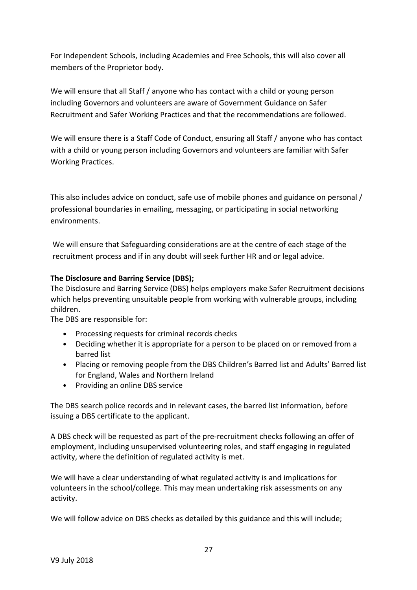For Independent Schools, including Academies and Free Schools, this will also cover all members of the Proprietor body.

We will ensure that all Staff / anyone who has contact with a child or young person including Governors and volunteers are aware of Government Guidance on Safer Recruitment and Safer Working Practices and that the recommendations are followed.

We will ensure there is a Staff Code of Conduct, ensuring all Staff / anyone who has contact with a child or young person including Governors and volunteers are familiar with Safer Working Practices.

This also includes advice on conduct, safe use of mobile phones and guidance on personal / professional boundaries in emailing, messaging, or participating in social networking environments.

We will ensure that Safeguarding considerations are at the centre of each stage of the recruitment process and if in any doubt will seek further HR and or legal advice.

#### The Disclosure and Barring Service (DBS);

The Disclosure and Barring Service (DBS) helps employers make Safer Recruitment decisions which helps preventing unsuitable people from working with vulnerable groups, including children.

The DBS are responsible for:

- Processing requests for criminal records checks
- Deciding whether it is appropriate for a person to be placed on or removed from a barred list
- Placing or removing people from the DBS Children's Barred list and Adults' Barred list for England, Wales and Northern Ireland
- Providing an online DBS service

The DBS search police records and in relevant cases, the barred list information, before issuing a DBS certificate to the applicant.

A DBS check will be requested as part of the pre-recruitment checks following an offer of employment, including unsupervised volunteering roles, and staff engaging in regulated activity, where the definition of regulated activity is met.

We will have a clear understanding of what regulated activity is and implications for volunteers in the school/college. This may mean undertaking risk assessments on any activity.

We will follow advice on DBS checks as detailed by this guidance and this will include: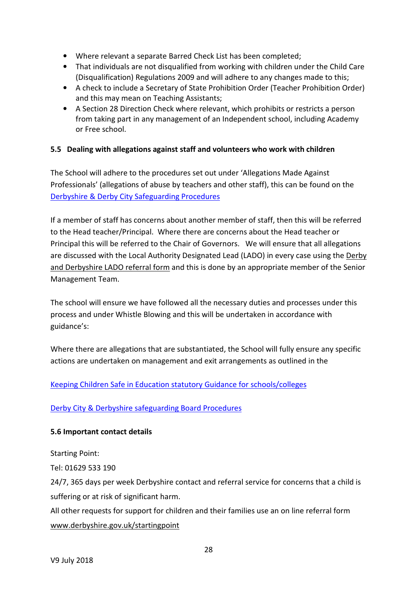- Where relevant a separate Barred Check List has been completed;
- That individuals are not disqualified from working with children under the Child Care (Disqualification) Regulations 2009 and will adhere to any changes made to this;
- A check to include a Secretary of State Prohibition Order (Teacher Prohibition Order) and this may mean on Teaching Assistants;
- A Section 28 Direction Check where relevant, which prohibits or restricts a person from taking part in any management of an Independent school, including Academy or Free school.

#### 5.5 Dealing with allegations against staff and volunteers who work with children

The School will adhere to the procedures set out under 'Allegations Made Against Professionals' (allegations of abuse by teachers and other staff), this can be found on the Derbyshire & Derby City Safeguarding Procedures

If a member of staff has concerns about another member of staff, then this will be referred to the Head teacher/Principal. Where there are concerns about the Head teacher or Principal this will be referred to the Chair of Governors. We will ensure that all allegations are discussed with the Local Authority Designated Lead (LADO) in every case using the Derby and Derbyshire LADO referral form and this is done by an appropriate member of the Senior Management Team.

The school will ensure we have followed all the necessary duties and processes under this process and under Whistle Blowing and this will be undertaken in accordance with guidance's:

Where there are allegations that are substantiated, the School will fully ensure any specific actions are undertaken on management and exit arrangements as outlined in the

#### Keeping Children Safe in Education statutory Guidance for schools/colleges

#### Derby City & Derbyshire safeguarding Board Procedures

#### 5.6 Important contact details

Starting Point:

Tel: 01629 533 190

24/7, 365 days per week Derbyshire contact and referral service for concerns that a child is suffering or at risk of significant harm.

All other requests for support for children and their families use an on line referral form www.derbyshire.gov.uk/startingpoint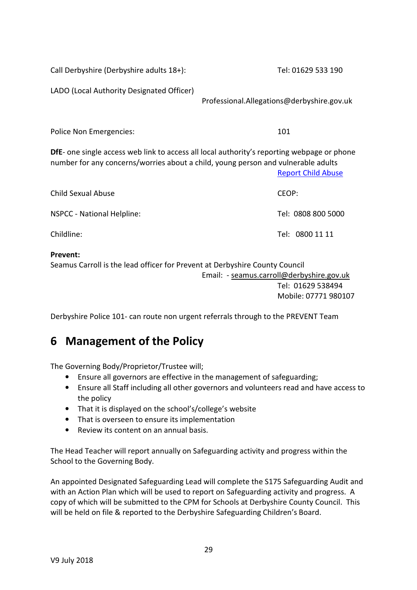Call Derbyshire (Derbyshire adults 18+): Tel: 01629 533 190

LADO (Local Authority Designated Officer)

Professional.Allegations@derbyshire.gov.uk

Police Non Emergencies: 101

DfE- one single access web link to access all local authority's reporting webpage or phone number for any concerns/worries about a child, young person and vulnerable adults Report Child Abuse

| <b>Child Sexual Abuse</b>         | CFOP:              |
|-----------------------------------|--------------------|
| <b>NSPCC - National Helpline:</b> | Tel: 0808 800 5000 |
| Childline:                        | Tel: 0800 11 11    |

#### Prevent:

Seamus Carroll is the lead officer for Prevent at Derbyshire County Council Email: - seamus.carroll@derbyshire.gov.uk Tel: 01629 538494 Mobile: 07771 980107

Derbyshire Police 101- can route non urgent referrals through to the PREVENT Team

# 6 Management of the Policy

The Governing Body/Proprietor/Trustee will;

- Ensure all governors are effective in the management of safeguarding;
- Ensure all Staff including all other governors and volunteers read and have access to the policy
- That it is displayed on the school's/college's website
- That is overseen to ensure its implementation
- Review its content on an annual basis.

The Head Teacher will report annually on Safeguarding activity and progress within the School to the Governing Body.

An appointed Designated Safeguarding Lead will complete the S175 Safeguarding Audit and with an Action Plan which will be used to report on Safeguarding activity and progress. A copy of which will be submitted to the CPM for Schools at Derbyshire County Council. This will be held on file & reported to the Derbyshire Safeguarding Children's Board.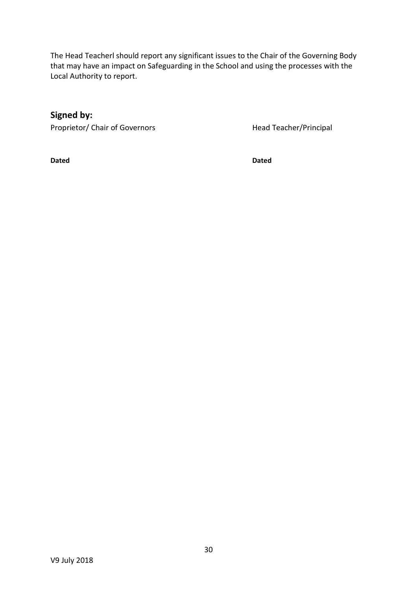The Head Teacherl should report any significant issues to the Chair of the Governing Body that may have an impact on Safeguarding in the School and using the processes with the Local Authority to report.

## Signed by:

Proprietor/ Chair of Governors **Head Teacher/Principal** 

Dated **Dated Dated Dated**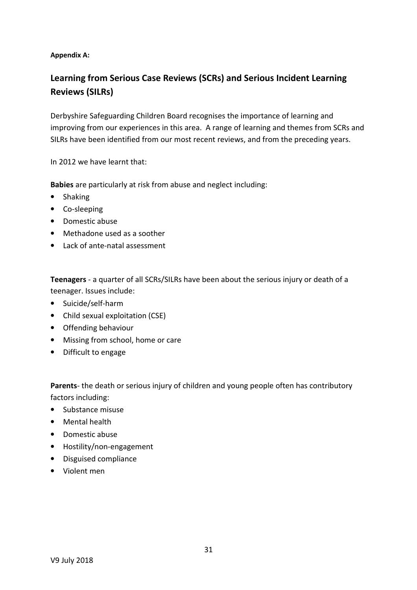#### Appendix A:

# Learning from Serious Case Reviews (SCRs) and Serious Incident Learning Reviews (SILRs)

Derbyshire Safeguarding Children Board recognises the importance of learning and improving from our experiences in this area. A range of learning and themes from SCRs and SILRs have been identified from our most recent reviews, and from the preceding years.

In 2012 we have learnt that:

Babies are particularly at risk from abuse and neglect including:

- Shaking
- Co-sleeping
- Domestic abuse
- Methadone used as a soother
- Lack of ante-natal assessment

Teenagers - a quarter of all SCRs/SILRs have been about the serious injury or death of a teenager. Issues include:

- Suicide/self-harm
- Child sexual exploitation (CSE)
- Offending behaviour
- Missing from school, home or care
- Difficult to engage

Parents- the death or serious injury of children and young people often has contributory factors including:

- Substance misuse
- Mental health
- Domestic abuse
- Hostility/non-engagement
- Disguised compliance
- Violent men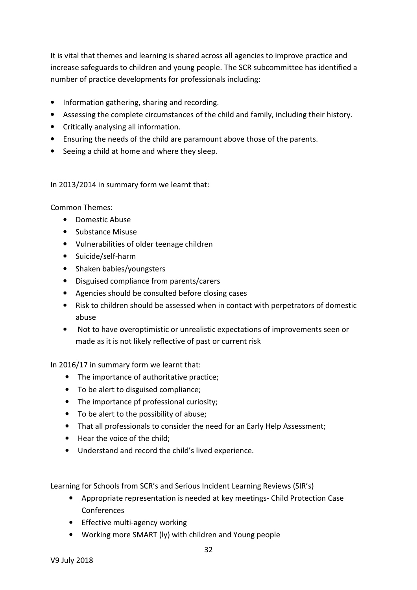It is vital that themes and learning is shared across all agencies to improve practice and increase safeguards to children and young people. The SCR subcommittee has identified a number of practice developments for professionals including:

- Information gathering, sharing and recording.
- Assessing the complete circumstances of the child and family, including their history.
- Critically analysing all information.
- Ensuring the needs of the child are paramount above those of the parents.
- Seeing a child at home and where they sleep.

In 2013/2014 in summary form we learnt that:

Common Themes:

- Domestic Abuse
- Substance Misuse
- Vulnerabilities of older teenage children
- Suicide/self-harm
- Shaken babies/youngsters
- Disguised compliance from parents/carers
- Agencies should be consulted before closing cases
- Risk to children should be assessed when in contact with perpetrators of domestic abuse
- Not to have overoptimistic or unrealistic expectations of improvements seen or made as it is not likely reflective of past or current risk

In 2016/17 in summary form we learnt that:

- The importance of authoritative practice;
- To be alert to disguised compliance;
- The importance pf professional curiosity;
- To be alert to the possibility of abuse;
- That all professionals to consider the need for an Early Help Assessment;
- Hear the voice of the child;
- Understand and record the child's lived experience.

Learning for Schools from SCR's and Serious Incident Learning Reviews (SIR's)

- Appropriate representation is needed at key meetings- Child Protection Case Conferences
- Effective multi-agency working
- Working more SMART (ly) with children and Young people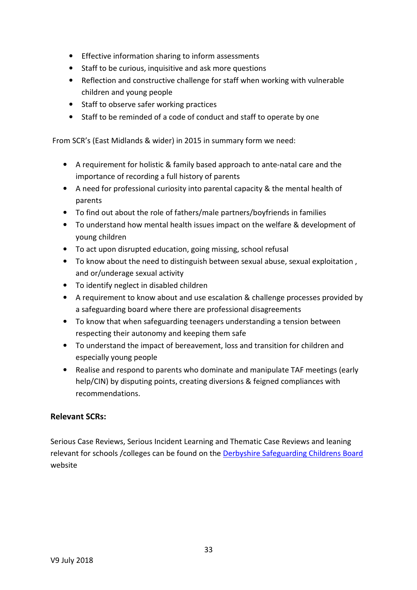- Effective information sharing to inform assessments
- Staff to be curious, inquisitive and ask more questions
- Reflection and constructive challenge for staff when working with vulnerable children and young people
- Staff to observe safer working practices
- Staff to be reminded of a code of conduct and staff to operate by one

From SCR's (East Midlands & wider) in 2015 in summary form we need:

- A requirement for holistic & family based approach to ante-natal care and the importance of recording a full history of parents
- A need for professional curiosity into parental capacity & the mental health of parents
- To find out about the role of fathers/male partners/boyfriends in families
- To understand how mental health issues impact on the welfare & development of young children
- To act upon disrupted education, going missing, school refusal
- To know about the need to distinguish between sexual abuse, sexual exploitation , and or/underage sexual activity
- To identify neglect in disabled children
- A requirement to know about and use escalation & challenge processes provided by a safeguarding board where there are professional disagreements
- To know that when safeguarding teenagers understanding a tension between respecting their autonomy and keeping them safe
- To understand the impact of bereavement, loss and transition for children and especially young people
- Realise and respond to parents who dominate and manipulate TAF meetings (early help/CIN) by disputing points, creating diversions & feigned compliances with recommendations.

#### Relevant SCRs:

Serious Case Reviews, Serious Incident Learning and Thematic Case Reviews and leaning relevant for schools /colleges can be found on the Derbyshire Safeguarding Childrens Board website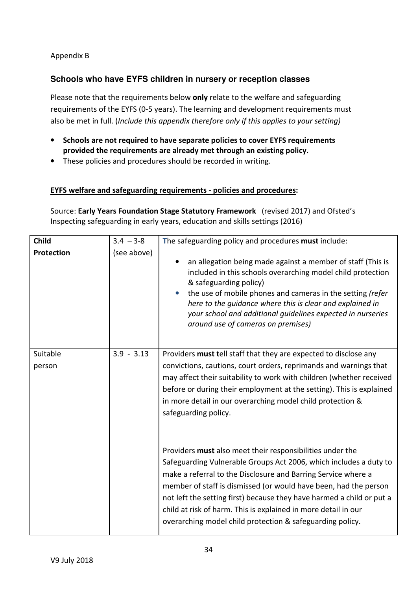#### Appendix B

#### **Schools who have EYFS children in nursery or reception classes**

Please note that the requirements below only relate to the welfare and safeguarding requirements of the EYFS (0-5 years). The learning and development requirements must also be met in full. (Include this appendix therefore only if this applies to your setting)

- Schools are not required to have separate policies to cover EYFS requirements provided the requirements are already met through an existing policy.
- These policies and procedures should be recorded in writing.

#### EYFS welfare and safeguarding requirements - policies and procedures:

Source: Early Years Foundation Stage Statutory Framework (revised 2017) and Ofsted's Inspecting safeguarding in early years, education and skills settings (2016)

| <b>Child</b><br>Protection | $3.4 - 3 - 8$<br>(see above) | The safeguarding policy and procedures must include:<br>an allegation being made against a member of staff (This is<br>included in this schools overarching model child protection<br>& safeguarding policy)<br>the use of mobile phones and cameras in the setting (refer<br>here to the quidance where this is clear and explained in<br>your school and additional guidelines expected in nurseries<br>around use of cameras on premises)                                |
|----------------------------|------------------------------|-----------------------------------------------------------------------------------------------------------------------------------------------------------------------------------------------------------------------------------------------------------------------------------------------------------------------------------------------------------------------------------------------------------------------------------------------------------------------------|
| Suitable<br>person         | $3.9 - 3.13$                 | Providers must tell staff that they are expected to disclose any<br>convictions, cautions, court orders, reprimands and warnings that<br>may affect their suitability to work with children (whether received<br>before or during their employment at the setting). This is explained<br>in more detail in our overarching model child protection &<br>safeguarding policy.                                                                                                 |
|                            |                              | Providers must also meet their responsibilities under the<br>Safeguarding Vulnerable Groups Act 2006, which includes a duty to<br>make a referral to the Disclosure and Barring Service where a<br>member of staff is dismissed (or would have been, had the person<br>not left the setting first) because they have harmed a child or put a<br>child at risk of harm. This is explained in more detail in our<br>overarching model child protection & safeguarding policy. |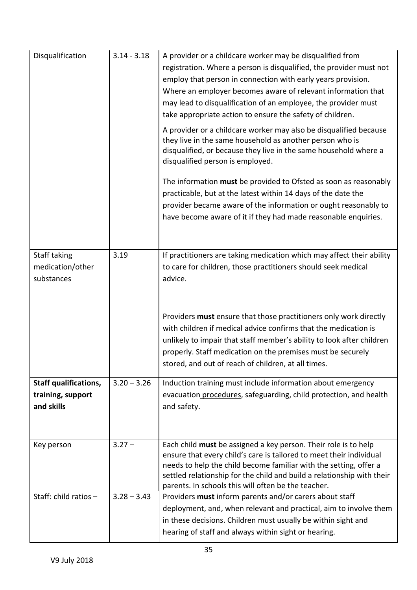| Disqualification                                                | $3.14 - 3.18$ | A provider or a childcare worker may be disqualified from<br>registration. Where a person is disqualified, the provider must not<br>employ that person in connection with early years provision.<br>Where an employer becomes aware of relevant information that<br>may lead to disqualification of an employee, the provider must<br>take appropriate action to ensure the safety of children. |
|-----------------------------------------------------------------|---------------|-------------------------------------------------------------------------------------------------------------------------------------------------------------------------------------------------------------------------------------------------------------------------------------------------------------------------------------------------------------------------------------------------|
|                                                                 |               | A provider or a childcare worker may also be disqualified because<br>they live in the same household as another person who is<br>disqualified, or because they live in the same household where a<br>disqualified person is employed.                                                                                                                                                           |
|                                                                 |               | The information must be provided to Ofsted as soon as reasonably<br>practicable, but at the latest within 14 days of the date the<br>provider became aware of the information or ought reasonably to<br>have become aware of it if they had made reasonable enquiries.                                                                                                                          |
| Staff taking<br>medication/other<br>substances                  | 3.19          | If practitioners are taking medication which may affect their ability<br>to care for children, those practitioners should seek medical<br>advice.                                                                                                                                                                                                                                               |
|                                                                 |               | Providers must ensure that those practitioners only work directly<br>with children if medical advice confirms that the medication is<br>unlikely to impair that staff member's ability to look after children<br>properly. Staff medication on the premises must be securely<br>stored, and out of reach of children, at all times.                                                             |
| <b>Staff qualifications,</b><br>training, support<br>and skills | $3.20 - 3.26$ | Induction training must include information about emergency<br>evacuation procedures, safeguarding, child protection, and health<br>and safety.                                                                                                                                                                                                                                                 |
| Key person                                                      | $3.27 -$      | Each child must be assigned a key person. Their role is to help<br>ensure that every child's care is tailored to meet their individual<br>needs to help the child become familiar with the setting, offer a<br>settled relationship for the child and build a relationship with their<br>parents. In schools this will often be the teacher.                                                    |
| Staff: child ratios -                                           | $3.28 - 3.43$ | Providers must inform parents and/or carers about staff<br>deployment, and, when relevant and practical, aim to involve them<br>in these decisions. Children must usually be within sight and<br>hearing of staff and always within sight or hearing.                                                                                                                                           |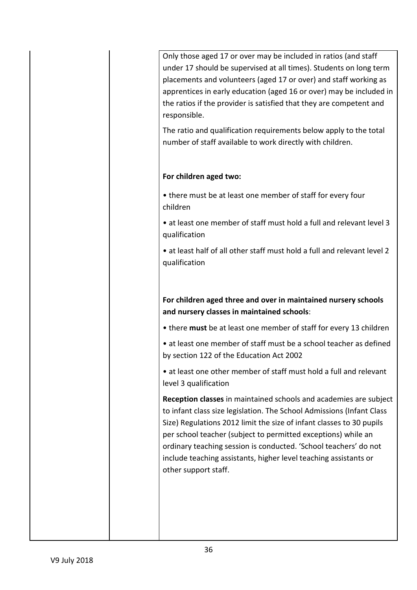Only those aged 17 or over may be included in ratios (and staff under 17 should be supervised at all times). Students on long term placements and volunteers (aged 17 or over) and staff working as apprentices in early education (aged 16 or over) may be included in the ratios if the provider is satisfied that they are competent and responsible.

The ratio and qualification requirements below apply to the total number of staff available to work directly with children.

#### For children aged two:

• there must be at least one member of staff for every four children

• at least one member of staff must hold a full and relevant level 3 qualification

• at least half of all other staff must hold a full and relevant level 2 qualification

# For children aged three and over in maintained nursery schools and nursery classes in maintained schools:

• there must be at least one member of staff for every 13 children

• at least one member of staff must be a school teacher as defined by section 122 of the Education Act 2002

• at least one other member of staff must hold a full and relevant level 3 qualification

Reception classes in maintained schools and academies are subject to infant class size legislation. The School Admissions (Infant Class Size) Regulations 2012 limit the size of infant classes to 30 pupils per school teacher (subject to permitted exceptions) while an ordinary teaching session is conducted. 'School teachers' do not include teaching assistants, higher level teaching assistants or other support staff.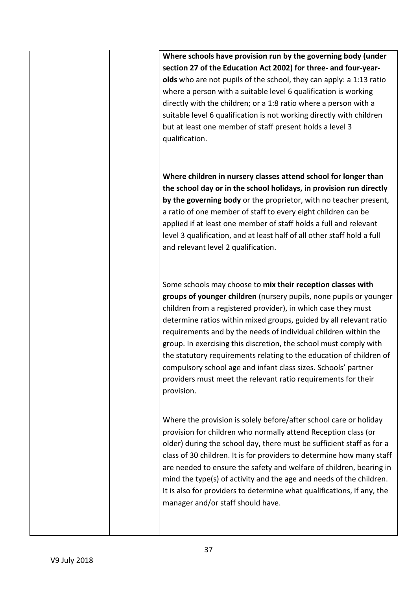Where schools have provision run by the governing body (under section 27 of the Education Act 2002) for three- and four-yearolds who are not pupils of the school, they can apply: a 1:13 ratio where a person with a suitable level 6 qualification is working directly with the children; or a 1:8 ratio where a person with a suitable level 6 qualification is not working directly with children but at least one member of staff present holds a level 3 qualification.

Where children in nursery classes attend school for longer than the school day or in the school holidays, in provision run directly by the governing body or the proprietor, with no teacher present, a ratio of one member of staff to every eight children can be applied if at least one member of staff holds a full and relevant level 3 qualification, and at least half of all other staff hold a full and relevant level 2 qualification.

Some schools may choose to mix their reception classes with groups of younger children (nursery pupils, none pupils or younger children from a registered provider), in which case they must determine ratios within mixed groups, guided by all relevant ratio requirements and by the needs of individual children within the group. In exercising this discretion, the school must comply with the statutory requirements relating to the education of children of compulsory school age and infant class sizes. Schools' partner providers must meet the relevant ratio requirements for their provision.

Where the provision is solely before/after school care or holiday provision for children who normally attend Reception class (or older) during the school day, there must be sufficient staff as for a class of 30 children. It is for providers to determine how many staff are needed to ensure the safety and welfare of children, bearing in mind the type(s) of activity and the age and needs of the children. It is also for providers to determine what qualifications, if any, the manager and/or staff should have.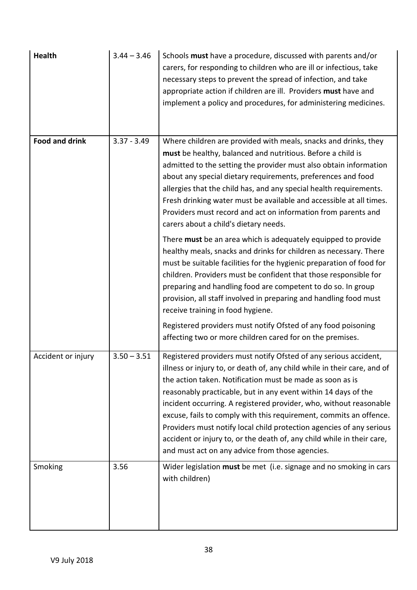| <b>Health</b>         | $3.44 - 3.46$ | Schools must have a procedure, discussed with parents and/or<br>carers, for responding to children who are ill or infectious, take<br>necessary steps to prevent the spread of infection, and take<br>appropriate action if children are ill. Providers must have and<br>implement a policy and procedures, for administering medicines.                                                                                                                                                                                                                                                                                     |
|-----------------------|---------------|------------------------------------------------------------------------------------------------------------------------------------------------------------------------------------------------------------------------------------------------------------------------------------------------------------------------------------------------------------------------------------------------------------------------------------------------------------------------------------------------------------------------------------------------------------------------------------------------------------------------------|
| <b>Food and drink</b> | $3.37 - 3.49$ | Where children are provided with meals, snacks and drinks, they<br>must be healthy, balanced and nutritious. Before a child is<br>admitted to the setting the provider must also obtain information<br>about any special dietary requirements, preferences and food<br>allergies that the child has, and any special health requirements.<br>Fresh drinking water must be available and accessible at all times.<br>Providers must record and act on information from parents and<br>carers about a child's dietary needs.                                                                                                   |
|                       |               | There must be an area which is adequately equipped to provide<br>healthy meals, snacks and drinks for children as necessary. There<br>must be suitable facilities for the hygienic preparation of food for<br>children. Providers must be confident that those responsible for<br>preparing and handling food are competent to do so. In group<br>provision, all staff involved in preparing and handling food must<br>receive training in food hygiene.<br>Registered providers must notify Ofsted of any food poisoning<br>affecting two or more children cared for on the premises.                                       |
| Accident or injury    | $3.50 - 3.51$ | Registered providers must notify Ofsted of any serious accident,<br>illness or injury to, or death of, any child while in their care, and of<br>the action taken. Notification must be made as soon as is<br>reasonably practicable, but in any event within 14 days of the<br>incident occurring. A registered provider, who, without reasonable<br>excuse, fails to comply with this requirement, commits an offence.<br>Providers must notify local child protection agencies of any serious<br>accident or injury to, or the death of, any child while in their care,<br>and must act on any advice from those agencies. |
| Smoking               | 3.56          | Wider legislation must be met (i.e. signage and no smoking in cars<br>with children)                                                                                                                                                                                                                                                                                                                                                                                                                                                                                                                                         |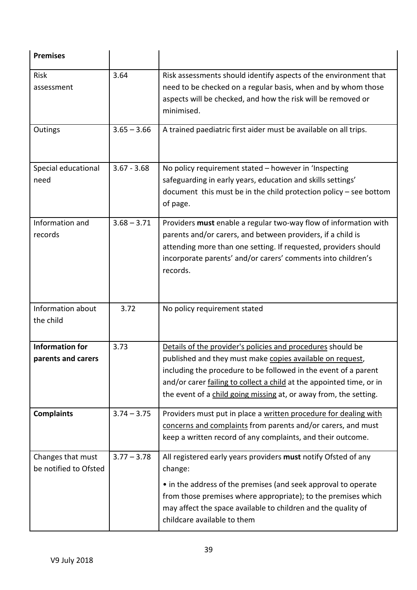| <b>Premises</b>                              |               |                                                                                                                                                                                                                                                                                                                                          |
|----------------------------------------------|---------------|------------------------------------------------------------------------------------------------------------------------------------------------------------------------------------------------------------------------------------------------------------------------------------------------------------------------------------------|
| Risk<br>assessment                           | 3.64          | Risk assessments should identify aspects of the environment that<br>need to be checked on a regular basis, when and by whom those<br>aspects will be checked, and how the risk will be removed or<br>minimised.                                                                                                                          |
| Outings                                      | $3.65 - 3.66$ | A trained paediatric first aider must be available on all trips.                                                                                                                                                                                                                                                                         |
| Special educational<br>need                  | $3.67 - 3.68$ | No policy requirement stated - however in 'Inspecting<br>safeguarding in early years, education and skills settings'<br>document this must be in the child protection policy - see bottom<br>of page.                                                                                                                                    |
| Information and<br>records                   | $3.68 - 3.71$ | Providers must enable a regular two-way flow of information with<br>parents and/or carers, and between providers, if a child is<br>attending more than one setting. If requested, providers should<br>incorporate parents' and/or carers' comments into children's<br>records.                                                           |
| Information about<br>the child               | 3.72          | No policy requirement stated                                                                                                                                                                                                                                                                                                             |
| <b>Information for</b><br>parents and carers | 3.73          | Details of the provider's policies and procedures should be<br>published and they must make copies available on request,<br>including the procedure to be followed in the event of a parent<br>and/or carer failing to collect a child at the appointed time, or in<br>the event of a child going missing at, or away from, the setting. |
| <b>Complaints</b>                            | $3.74 - 3.75$ | Providers must put in place a written procedure for dealing with<br>concerns and complaints from parents and/or carers, and must<br>keep a written record of any complaints, and their outcome.                                                                                                                                          |
| Changes that must<br>be notified to Ofsted   | $3.77 - 3.78$ | All registered early years providers must notify Ofsted of any<br>change:<br>• in the address of the premises (and seek approval to operate<br>from those premises where appropriate); to the premises which<br>may affect the space available to children and the quality of<br>childcare available to them                             |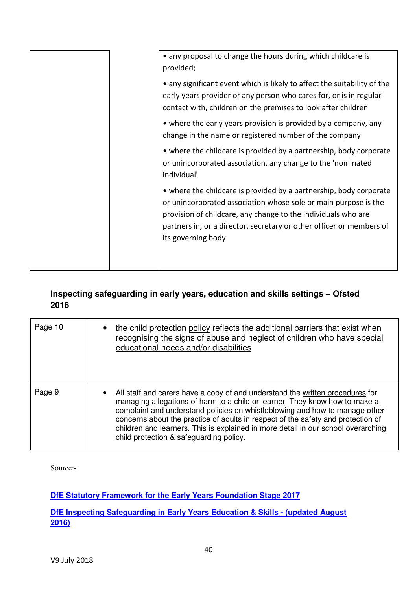| • any proposal to change the hours during which childcare is<br>provided;                                                                                                                                                                                                                            |
|------------------------------------------------------------------------------------------------------------------------------------------------------------------------------------------------------------------------------------------------------------------------------------------------------|
| • any significant event which is likely to affect the suitability of the<br>early years provider or any person who cares for, or is in regular<br>contact with, children on the premises to look after children                                                                                      |
| • where the early years provision is provided by a company, any<br>change in the name or registered number of the company                                                                                                                                                                            |
| • where the childcare is provided by a partnership, body corporate<br>or unincorporated association, any change to the 'nominated<br>individual'                                                                                                                                                     |
| • where the childcare is provided by a partnership, body corporate<br>or unincorporated association whose sole or main purpose is the<br>provision of childcare, any change to the individuals who are<br>partners in, or a director, secretary or other officer or members of<br>its governing body |
|                                                                                                                                                                                                                                                                                                      |

# **Inspecting safeguarding in early years, education and skills settings – Ofsted 2016**

| Page 10 | the child protection policy reflects the additional barriers that exist when<br>$\bullet$<br>recognising the signs of abuse and neglect of children who have special<br>educational needs and/or disabilities                                                                                                                                                                                                                                                     |
|---------|-------------------------------------------------------------------------------------------------------------------------------------------------------------------------------------------------------------------------------------------------------------------------------------------------------------------------------------------------------------------------------------------------------------------------------------------------------------------|
| Page 9  | • All staff and carers have a copy of and understand the written procedures for<br>managing allegations of harm to a child or learner. They know how to make a<br>complaint and understand policies on whistleblowing and how to manage other<br>concerns about the practice of adults in respect of the safety and protection of<br>children and learners. This is explained in more detail in our school overarching<br>child protection & safeguarding policy. |

Source:-

**DfE Statutory Framework for the Early Years Foundation Stage 2017**

**DfE Inspecting Safeguarding in Early Years Education & Skills - (updated August 2016)**